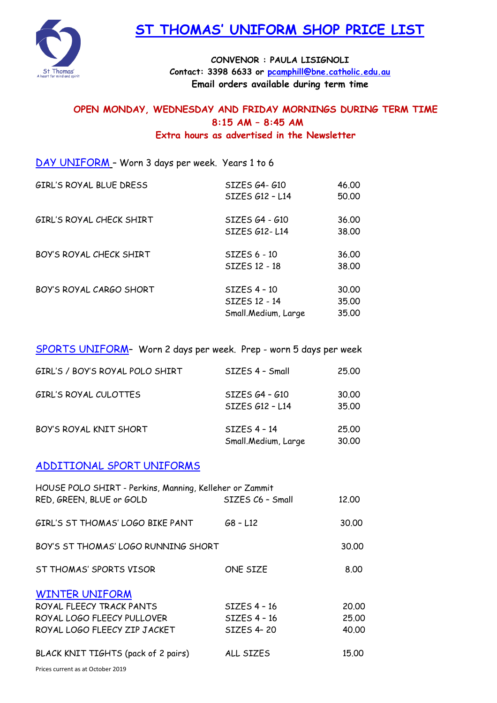

## **ST THOMAS' UNIFORM SHOP PRICE LIST**

**CONVENOR : PAULA LISIGNOLI Contact: 3398 6633 or [pcamphill@bne.catholic.edu.au](mailto:pcamphill@bne.catholic.edu.au) Email orders available during term time**

## **OPEN MONDAY, WEDNESDAY AND FRIDAY MORNINGS DURING TERM TIME 8:15 AM – 8:45 AM Extra hours as advertised in the Newsletter**

| DAY UNIFORM - Worn 3 days per week. Years 1 to 6 |                                                      |                         |
|--------------------------------------------------|------------------------------------------------------|-------------------------|
| GIRL'S ROYAL BLUE DRESS                          | SIZES 64-610<br>SIZES 612 - L14                      | 46.00<br>50.00          |
| <b>GIRL'S ROYAL CHECK SHIRT</b>                  | SIZES 64 - 610<br>SIZES 612-L14                      | 36,00<br>38.00          |
| BOY'S ROYAL CHECK SHIRT                          | SIZES 6 - 10<br>SIZES 12 - 18                        | 36,00<br>38.00          |
| BOY'S ROYAL CARGO SHORT                          | SIZES 4 - 10<br>SIZES 12 - 14<br>Small.Medium, Large | 30,00<br>35,00<br>35,00 |

SPORTS UNIFORM– Worn 2 days per week. Prep - worn 5 days per week

| GIRL'S / BOY'S ROYAL POLO SHIRT | SIZES 4 - Small                     | 25.00          |
|---------------------------------|-------------------------------------|----------------|
| GIRL'S ROYAL CULOTTES           | SIZES 64 - 610<br>SIZES 612 - L14   | 30.00<br>35.00 |
| BOY'S ROYAL KNIT SHORT          | SIZES 4 - 14<br>Small.Medium, Large | 25.00<br>30.00 |

## ADDITIONAL SPORT UNIFORMS

| HOUSE POLO SHIRT - Perkins, Manning, Kelleher or Zammit |                  |       |
|---------------------------------------------------------|------------------|-------|
| RED, GREEN, BLUE or GOLD                                | SIZES C6 - Small | 12,00 |
| GIRL'S ST THOMAS' LOGO BIKE PANT                        | $G8 - L12$       | 30,00 |
| BOY'S ST THOMAS' LOGO RUNNING SHORT                     |                  | 30,00 |
| ST THOMAS' SPORTS VISOR                                 | ONE SIZE         | 8.00  |
| <b>WINTER UNIFORM</b>                                   |                  |       |
| ROYAL FLEECY TRACK PANTS                                | SIZES 4 - 16     | 20,00 |
| ROYAL LOGO FLEECY PULLOVER                              | SIZES 4 - 16     | 25,00 |
| ROYAL LOGO FLEECY ZIP JACKET                            | SIZES 4-20       | 40.00 |
| BLACK KNIT TIGHTS (pack of 2 pairs)                     | ALL SIZES        | 15.00 |
| Prices current as at October 2019                       |                  |       |